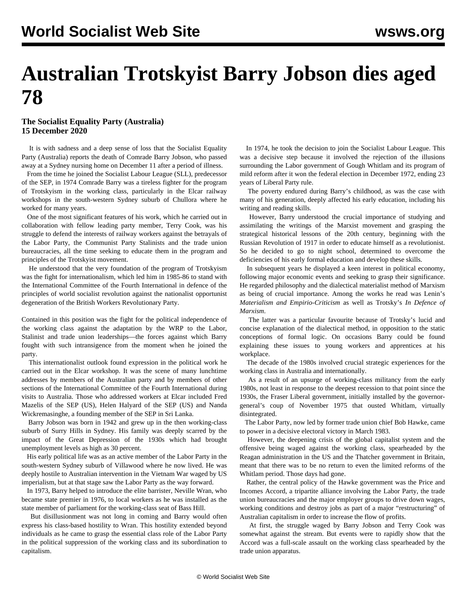## **Australian Trotskyist Barry Jobson dies aged 78**

## **The Socialist Equality Party (Australia) 15 December 2020**

 It is with sadness and a deep sense of loss that the Socialist Equality Party (Australia) reports the death of Comrade Barry Jobson, who passed away at a Sydney nursing home on December 11 after a period of illness.

 From the time he joined the Socialist Labour League (SLL), predecessor of the SEP, in 1974 Comrade Barry was a tireless fighter for the program of Trotskyism in the working class, particularly in the Elcar railway workshops in the south-western Sydney suburb of Chullora where he worked for many years.

 One of the most significant features of his work, which he carried out in collaboration with fellow leading party member, Terry Cook, was his struggle to defend the interests of railway workers against the betrayals of the Labor Party, the Communist Party Stalinists and the trade union bureaucracies, all the time seeking to educate them in the program and principles of the Trotskyist movement.

 He understood that the very foundation of the program of Trotskyism was the fight for internationalism, which led him in 1985-86 to stand with the International Committee of the Fourth International in defence of the principles of world socialist revolution against the nationalist opportunist degeneration of the British Workers Revolutionary Party.

Contained in this position was the fight for the political independence of the working class against the adaptation by the WRP to the Labor, Stalinist and trade union leaderships—the forces against which Barry fought with such intransigence from the moment when he joined the party.

 This internationalist outlook found expression in the political work he carried out in the Elcar workshop. It was the scene of many lunchtime addresses by members of the Australian party and by members of other sections of the International Committee of the Fourth International during visits to Australia. Those who addressed workers at Elcar included Fred Mazelis of the SEP (US), Helen Halyard of the SEP (US) and Nanda Wickremasinghe, a founding member of the SEP in Sri Lanka.

 Barry Jobson was born in 1942 and grew up in the then working-class suburb of Surry Hills in Sydney. His family was deeply scarred by the impact of the Great Depression of the 1930s which had brought unemployment levels as high as 30 percent.

 His early political life was as an active member of the Labor Party in the south-western Sydney suburb of Villawood where he now lived. He was deeply hostile to Australian intervention in the Vietnam War waged by US imperialism, but at that stage saw the Labor Party as the way forward.

 In 1973, Barry helped to introduce the elite barrister, Neville Wran, who became state premier in 1976, to local workers as he was installed as the state member of parliament for the working-class seat of Bass Hill.

 But disillusionment was not long in coming and Barry would often express his class-based hostility to Wran. This hostility extended beyond individuals as he came to grasp the essential class role of the Labor Party in the political suppression of the working class and its subordination to capitalism.

 In 1974, he took the decision to join the Socialist Labour League. This was a decisive step because it involved the rejection of the illusions surrounding the Labor government of Gough Whitlam and its program of mild reform after it won the federal election in December 1972, ending 23 years of Liberal Party rule.

 The poverty endured during Barry's childhood, as was the case with many of his generation, deeply affected his early education, including his writing and reading skills.

 However, Barry understood the crucial importance of studying and assimilating the writings of the Marxist movement and grasping the strategical historical lessons of the 20th century, beginning with the Russian Revolution of 1917 in order to educate himself as a revolutionist. So he decided to go to night school, determined to overcome the deficiencies of his early formal education and develop these skills.

 In subsequent years he displayed a keen interest in political economy, following major economic events and seeking to grasp their significance. He regarded philosophy and the dialectical materialist method of Marxism as being of crucial importance. Among the works he read was Lenin's *Materialism and Empirio-Criticism* as well as Trotsky's *In Defence of Marxism*.

 The latter was a particular favourite because of Trotsky's lucid and concise explanation of the dialectical method, in opposition to the static conceptions of formal logic. On occasions Barry could be found explaining these issues to young workers and apprentices at his workplace.

 The decade of the 1980s involved crucial strategic experiences for the working class in Australia and internationally.

 As a result of an upsurge of working-class militancy from the early 1980s, not least in response to the deepest recession to that point since the 1930s, the Fraser Liberal government, initially installed by the governorgeneral's coup of November 1975 that ousted Whitlam, virtually disintegrated.

 The Labor Party, now led by former trade union chief Bob Hawke, came to power in a decisive electoral victory in March 1983.

 However, the deepening crisis of the global capitalist system and the offensive being waged against the working class, spearheaded by the Reagan administration in the US and the Thatcher government in Britain, meant that there was to be no return to even the limited reforms of the Whitlam period. Those days had gone.

 Rather, the central policy of the Hawke government was the Price and Incomes Accord, a tripartite alliance involving the Labor Party, the trade union bureaucracies and the major employer groups to drive down wages, working conditions and destroy jobs as part of a major "restructuring" of Australian capitalism in order to increase the flow of profits.

 At first, the struggle waged by Barry Jobson and Terry Cook was somewhat against the stream. But events were to rapidly show that the Accord was a full-scale assault on the working class spearheaded by the trade union apparatus.